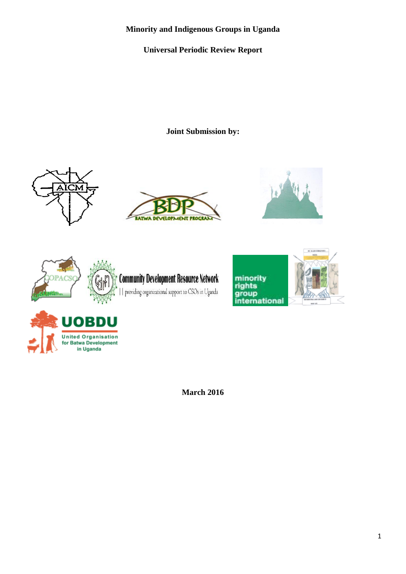# **Minority and Indigenous Groups in Uganda**

# **Universal Periodic Review Report**

**Joint Submission by:** 















**March 2016**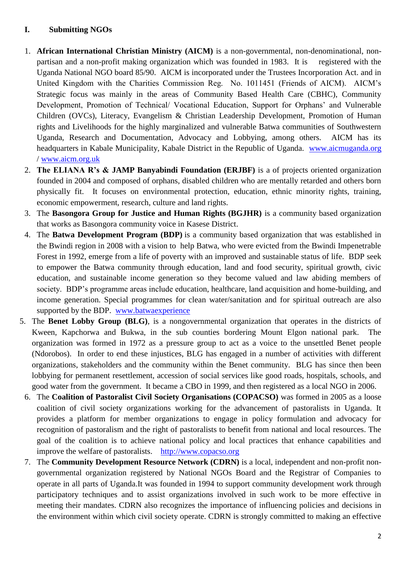### **I. Submitting NGOs**

- 1. **African International Christian Ministry (AICM)** is a non-governmental, non-denominational, nonpartisan and a non-profit making organization which was founded in 1983. It is registered with the Uganda National NGO board 85/90. AICM is incorporated under the Trustees Incorporation Act. and in United Kingdom with the Charities Commission Reg. No. 1011451 (Friends of AICM). AICM's Strategic focus was mainly in the areas of Community Based Health Care (CBHC), Community Development, Promotion of Technical/ Vocational Education, Support for Orphans' and Vulnerable Children (OVCs), Literacy, Evangelism & Christian Leadership Development, Promotion of Human rights and Livelihoods for the highly marginalized and vulnerable Batwa communities of Southwestern Uganda, Research and Documentation, Advocacy and Lobbying, among others. AICM has its headquarters in Kabale Municipality, Kabale District in the Republic of Uganda. [www.aicmuganda.org](http://www.aicmuganda.org/) / [www.aicm.org.uk](http://www.aicm.org.uk/)
- 2. **The ELIANA R's & JAMP Banyabindi Foundation (ERJBF)** is a of projects oriented organization founded in 2004 and composed of orphans, disabled children who are mentally retarded and others born physically fit. It focuses on environmental protection, education, ethnic minority rights, training, economic empowerment, research, culture and land rights.
- 3. The **Basongora Group for Justice and Human Rights (BGJHR)** is a community based organization that works as Basongora community voice in Kasese District.
- 4. The **Batwa Development Program (BDP)** is a community based organization that was established in the Bwindi region in 2008 with a vision to help Batwa, who were evicted from the Bwindi Impenetrable Forest in 1992, emerge from a life of poverty with an improved and sustainable status of life. BDP seek to empower the Batwa community through education, land and food security, spiritual growth, civic education, and sustainable income generation so they become valued and law abiding members of society. BDP's programme areas include education, healthcare, land acquisition and home-building, and income generation. Special programmes for clean water/sanitation and for spiritual outreach are also supported by the BDP. [www.batwaexperience](http://www.batwaexperience/)
- 5. The **Benet Lobby Group (BLG)**, is a nongovernmental organization that operates in the districts of Kween, Kapchorwa and Bukwa, in the sub counties bordering Mount Elgon national park. The organization was formed in 1972 as a pressure group to act as a voice to the unsettled Benet people (Ndorobos). In order to end these injustices, BLG has engaged in a number of activities with different organizations, stakeholders and the community within the Benet community. BLG has since then been lobbying for permanent resettlement, accession of social services like good roads, hospitals, schools, and good water from the government. It became a CBO in 1999, and then registered as a local NGO in 2006.
	- 6. The **Coalition of Pastoralist Civil Society Organisations (COPACSO)** was formed in 2005 as a loose coalition of civil society organizations working for the advancement of pastoralists in Uganda. It provides a platform for member organizations to engage in policy formulation and advocacy for recognition of pastoralism and the right of pastoralists to benefit from national and local resources. The goal of the coalition is to achieve national policy and local practices that enhance capabilities and improve the welfare of pastoralists. [http://www.copacso.org](http://www.copacso.org/)
	- 7. The **Community Development Resource Network (CDRN)** is a local, independent and non-profit nongovernmental organization registered by National NGOs Board and the Registrar of Companies to operate in all parts of Uganda.It was founded in 1994 to support community development work through participatory techniques and to assist organizations involved in such work to be more effective in meeting their mandates. CDRN also recognizes the importance of influencing policies and decisions in the environment within which civil society operate. CDRN is strongly committed to making an effective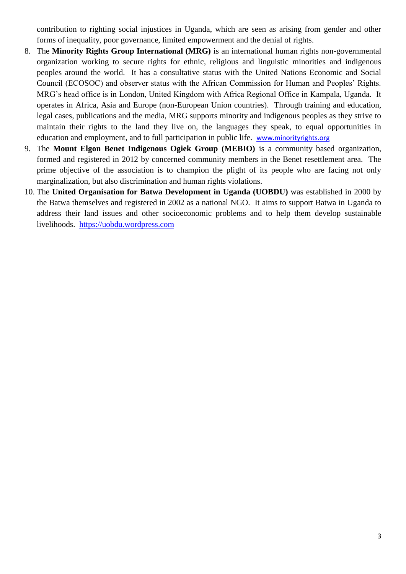contribution to righting social injustices in Uganda, which are seen as arising from gender and other forms of inequality, poor governance, limited empowerment and the denial of rights.

- 8. The **Minority Rights Group International (MRG)** is an international human rights non-governmental organization working to secure rights for ethnic, religious and linguistic minorities and indigenous peoples around the world. It has a consultative status with the United Nations Economic and Social Council (ECOSOC) and observer status with the African Commission for Human and Peoples' Rights. MRG's head office is in London, United Kingdom with Africa Regional Office in Kampala, Uganda. It operates in Africa, Asia and Europe (non-European Union countries). Through training and education, legal cases, publications and the media, MRG supports minority and indigenous peoples as they strive to maintain their rights to the land they live on, the languages they speak, to equal opportunities in education and employment, and to full participation in public life. [www.minorityrights.org](http://www.minorityrights.org/)
- 9. The **Mount Elgon Benet Indigenous Ogiek Group (MEBIO)** is a community based organization, formed and registered in 2012 by concerned community members in the Benet resettlement area. The prime objective of the association is to champion the plight of its people who are facing not only marginalization, but also discrimination and human rights violations.
- 10. The **United Organisation for Batwa Development in Uganda (UOBDU)** was established in 2000 by the Batwa themselves and registered in 2002 as a national NGO. It aims to support Batwa in Uganda to address their land issues and other socioeconomic problems and to help them develop sustainable livelihoods. [https://uobdu.wordpress.com](https://uobdu.wordpress.com/)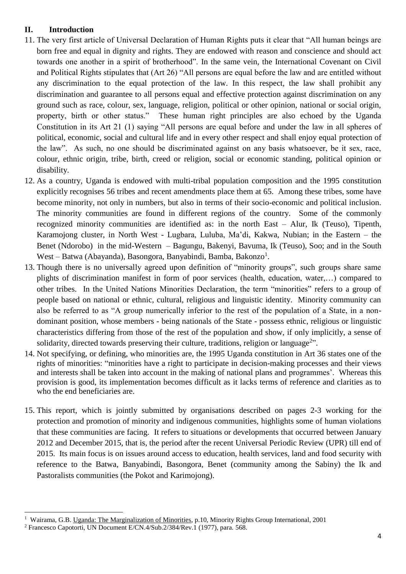## **II. Introduction**

- 11. The very first article of Universal Declaration of Human Rights puts it clear that "All human beings are born free and equal in dignity and rights. They are endowed with reason and conscience and should act towards one another in a spirit of brotherhood". In the same vein, the International Covenant on Civil and Political Rights stipulates that (Art 26) "All persons are equal before the law and are entitled without any discrimination to the equal protection of the law. In this respect, the law shall prohibit any discrimination and guarantee to all persons equal and effective protection against discrimination on any ground such as race, colour, sex, language, religion, political or other opinion, national or social origin, property, birth or other status." These human right principles are also echoed by the Uganda Constitution in its Art 21 (1) saying "All persons are equal before and under the law in all spheres of political, economic, social and cultural life and in every other respect and shall enjoy equal protection of the law". As such, no one should be discriminated against on any basis whatsoever, be it sex, race, colour, ethnic origin, tribe, birth, creed or religion, social or economic standing, political opinion or disability.
- 12. As a country, Uganda is endowed with multi-tribal population composition and the 1995 constitution explicitly recognises 56 tribes and recent amendments place them at 65. Among these tribes, some have become minority, not only in numbers, but also in terms of their socio-economic and political inclusion. The minority communities are found in different regions of the country. Some of the commonly recognized minority communities are identified as: in the north East – Alur, Ik (Teuso), Tipenth, Karamojong cluster, in North West - Lugbara, Luluba, Ma'di, Kakwa, Nubian; in the Eastern – the Benet (Ndorobo) in the mid-Western – Bagungu, Bakenyi, Bavuma, Ik (Teuso), Soo; and in the South West - Batwa (Abayanda), Basongora, Banyabindi, Bamba, Bakonzo<sup>1</sup>.
- 13. Though there is no universally agreed upon definition of "minority groups", such groups share same plights of discrimination manifest in form of poor services (health, education, water,…) compared to other tribes. In the United Nations Minorities Declaration, the term "minorities" refers to a group of people based on national or ethnic, cultural, religious and linguistic identity. Minority community can also be referred to as "A group numerically inferior to the rest of the population of a State, in a nondominant position, whose members - being nationals of the State - possess ethnic, religious or linguistic characteristics differing from those of the rest of the population and show, if only implicitly, a sense of solidarity, directed towards preserving their culture, traditions, religion or language<sup>2</sup>".
- 14. Not specifying, or defining, who minorities are, the 1995 Uganda constitution in Art 36 states one of the rights of minorities: "minorities have a right to participate in decision-making processes and their views and interests shall be taken into account in the making of national plans and programmes'. Whereas this provision is good, its implementation becomes difficult as it lacks terms of reference and clarities as to who the end beneficiaries are.
- 15. This report, which is jointly submitted by organisations described on pages 2-3 working for the protection and promotion of minority and indigenous communities, highlights some of human violations that these communities are facing. It refers to situations or developments that occurred between January 2012 and December 2015, that is, the period after the recent Universal Periodic Review (UPR) till end of 2015. Its main focus is on issues around access to education, health services, land and food security with reference to the Batwa, Banyabindi, Basongora, Benet (community among the Sabiny) the Ik and Pastoralists communities (the Pokot and Karimojong).

**<sup>.</sup>** <sup>1</sup> Wairama, G.B. Uganda: The Marginalization of Minorities, p.10, Minority Rights Group International, 2001

<sup>2</sup> Francesco Capotorti, UN Document E/CN.4/Sub.2/384/Rev.1 (1977), para. 568.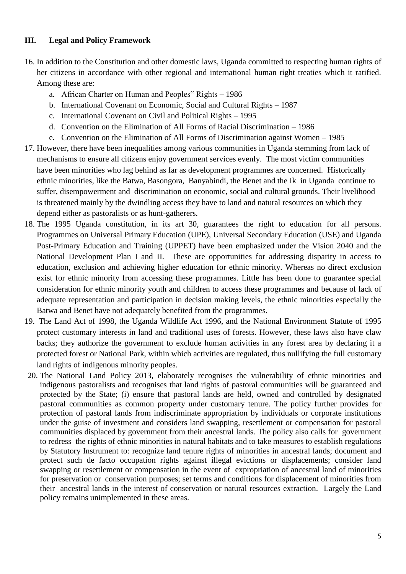#### **III. Legal and Policy Framework**

- 16. In addition to the Constitution and other domestic laws, Uganda committed to respecting human rights of her citizens in accordance with other regional and international human right treaties which it ratified. Among these are:
	- a. African Charter on Human and Peoples" Rights 1986
	- b. International Covenant on Economic, Social and Cultural Rights 1987
	- c. International Covenant on Civil and Political Rights 1995
	- d. Convention on the Elimination of All Forms of Racial Discrimination 1986
	- e. Convention on the Elimination of All Forms of Discrimination against Women 1985
- 17. However, there have been inequalities among various communities in Uganda stemming from lack of mechanisms to ensure all citizens enjoy government services evenly. The most victim communities have been minorities who lag behind as far as development programmes are concerned. Historically ethnic minorities, like the Batwa, Basongora, Banyabindi, the Benet and the Ik in Uganda continue to suffer, disempowerment and discrimination on economic, social and cultural grounds. Their livelihood is threatened mainly by the dwindling access they have to land and natural resources on which they depend either as pastoralists or as hunt-gatherers.
- 18. The 1995 Uganda constitution, in its art 30, guarantees the right to education for all persons. Programmes on Universal Primary Education (UPE), Universal Secondary Education (USE) and Uganda Post-Primary Education and Training (UPPET) have been emphasized under the Vision 2040 and the National Development Plan I and II. These are opportunities for addressing disparity in access to education, exclusion and achieving higher education for ethnic minority. Whereas no direct exclusion exist for ethnic minority from accessing these programmes. Little has been done to guarantee special consideration for ethnic minority youth and children to access these programmes and because of lack of adequate representation and participation in decision making levels, the ethnic minorities especially the Batwa and Benet have not adequately benefited from the programmes.
- 19. The Land Act of 1998, the Uganda Wildlife Act 1996, and the National Environment Statute of 1995 protect customary interests in land and traditional uses of forests. However, these laws also have claw backs; they authorize the government to exclude human activities in any forest area by declaring it a protected forest or National Park, within which activities are regulated, thus nullifying the full customary land rights of indigenous minority peoples.
- 20. The National Land Policy 2013, elaborately recognises the vulnerability of ethnic minorities and indigenous pastoralists and recognises that land rights of pastoral communities will be guaranteed and protected by the State; (i) ensure that pastoral lands are held, owned and controlled by designated pastoral communities as common property under customary tenure. The policy further provides for protection of pastoral lands from indiscriminate appropriation by individuals or corporate institutions under the guise of investment and considers land swapping, resettlement or compensation for pastoral communities displaced by government from their ancestral lands. The policy also calls for government to redress the rights of ethnic minorities in natural habitats and to take measures to establish regulations by Statutory Instrument to: recognize land tenure rights of minorities in ancestral lands; document and protect such de facto occupation rights against illegal evictions or displacements; consider land swapping or resettlement or compensation in the event of expropriation of ancestral land of minorities for preservation or conservation purposes; set terms and conditions for displacement of minorities from their ancestral lands in the interest of conservation or natural resources extraction. Largely the Land policy remains unimplemented in these areas.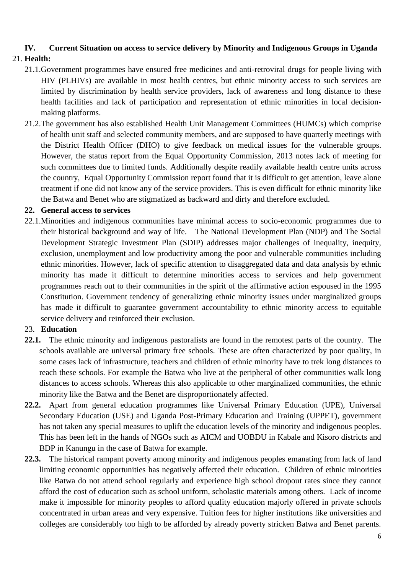# **IV. Current Situation on access to service delivery by Minority and Indigenous Groups in Uganda**

# 21. **Health:**

- 21.1.Government programmes have ensured free medicines and anti-retroviral drugs for people living with HIV (PLHIVs) are available in most health centres, but ethnic minority access to such services are limited by discrimination by health service providers, lack of awareness and long distance to these health facilities and lack of participation and representation of ethnic minorities in local decisionmaking platforms.
- 21.2.The government has also established Health Unit Management Committees (HUMCs) which comprise of health unit staff and selected community members, and are supposed to have quarterly meetings with the District Health Officer (DHO) to give feedback on medical issues for the vulnerable groups. However, the status report from the Equal Opportunity Commission, 2013 notes lack of meeting for such committees due to limited funds. Additionally despite readily available health centre units across the country, Equal Opportunity Commission report found that it is difficult to get attention, leave alone treatment if one did not know any of the service providers. This is even difficult for ethnic minority like the Batwa and Benet who are stigmatized as backward and dirty and therefore excluded.

#### **22. General access to services**

22.1.Minorities and indigenous communities have minimal access to socio-economic programmes due to their historical background and way of life. The National Development Plan (NDP) and The Social Development Strategic Investment Plan (SDIP) addresses major challenges of inequality, inequity, exclusion, unemployment and low productivity among the poor and vulnerable communities including ethnic minorities. However, lack of specific attention to disaggregated data and data analysis by ethnic minority has made it difficult to determine minorities access to services and help government programmes reach out to their communities in the spirit of the affirmative action espoused in the 1995 Constitution. Government tendency of generalizing ethnic minority issues under marginalized groups has made it difficult to guarantee government accountability to ethnic minority access to equitable service delivery and reinforced their exclusion.

#### 23. **Education**

- **22.1.** The ethnic minority and indigenous pastoralists are found in the remotest parts of the country. The schools available are universal primary free schools. These are often characterized by poor quality, in some cases lack of infrastructure, teachers and children of ethnic minority have to trek long distances to reach these schools. For example the Batwa who live at the peripheral of other communities walk long distances to access schools. Whereas this also applicable to other marginalized communities, the ethnic minority like the Batwa and the Benet are disproportionately affected.
- **22.2.** Apart from general education programmes like Universal Primary Education (UPE), Universal Secondary Education (USE) and Uganda Post-Primary Education and Training (UPPET), government has not taken any special measures to uplift the education levels of the minority and indigenous peoples. This has been left in the hands of NGOs such as AICM and UOBDU in Kabale and Kisoro districts and BDP in Kanungu in the case of Batwa for example.
- **22.3.** The historical rampant poverty among minority and indigenous peoples emanating from lack of land limiting economic opportunities has negatively affected their education. Children of ethnic minorities like Batwa do not attend school regularly and experience high school dropout rates since they cannot afford the cost of education such as school uniform, scholastic materials among others. Lack of income make it impossible for minority peoples to afford quality education majorly offered in private schools concentrated in urban areas and very expensive. Tuition fees for higher institutions like universities and colleges are considerably too high to be afforded by already poverty stricken Batwa and Benet parents.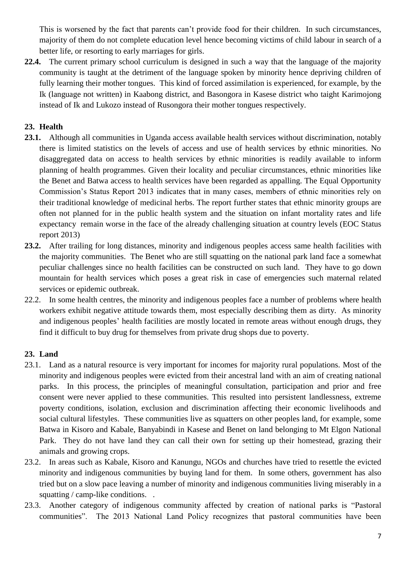This is worsened by the fact that parents can't provide food for their children. In such circumstances, majority of them do not complete education level hence becoming victims of child labour in search of a better life, or resorting to early marriages for girls.

**22.4.** The current primary school curriculum is designed in such a way that the language of the majority community is taught at the detriment of the language spoken by minority hence depriving children of fully learning their mother tongues. This kind of forced assimilation is experienced, for example, by the Ik (language not written) in Kaabong district, and Basongora in Kasese district who taight Karimojong instead of Ik and Lukozo instead of Rusongora their mother tongues respectively.

## **23. Health**

- **23.1.** Although all communities in Uganda access available health services without discrimination, notably there is limited statistics on the levels of access and use of health services by ethnic minorities. No disaggregated data on access to health services by ethnic minorities is readily available to inform planning of health programmes. Given their locality and peculiar circumstances, ethnic minorities like the Benet and Batwa access to health services have been regarded as appalling. The Equal Opportunity Commission's Status Report 2013 indicates that in many cases, members of ethnic minorities rely on their traditional knowledge of medicinal herbs. The report further states that ethnic minority groups are often not planned for in the public health system and the situation on infant mortality rates and life expectancy remain worse in the face of the already challenging situation at country levels (EOC Status report 2013)
- **23.2.** After trailing for long distances, minority and indigenous peoples access same health facilities with the majority communities. The Benet who are still squatting on the national park land face a somewhat peculiar challenges since no health facilities can be constructed on such land. They have to go down mountain for health services which poses a great risk in case of emergencies such maternal related services or epidemic outbreak.
- 22.2. In some health centres, the minority and indigenous peoples face a number of problems where health workers exhibit negative attitude towards them, most especially describing them as dirty. As minority and indigenous peoples' health facilities are mostly located in remote areas without enough drugs, they find it difficult to buy drug for themselves from private drug shops due to poverty.

## **23. Land**

- 23.1. Land as a natural resource is very important for incomes for majority rural populations. Most of the minority and indigenous peoples were evicted from their ancestral land with an aim of creating national parks. In this process, the principles of meaningful consultation, participation and prior and free consent were never applied to these communities. This resulted into persistent landlessness, extreme poverty conditions, isolation, exclusion and discrimination affecting their economic livelihoods and social cultural lifestyles. These communities live as squatters on other peoples land, for example, some Batwa in Kisoro and Kabale, Banyabindi in Kasese and Benet on land belonging to Mt Elgon National Park. They do not have land they can call their own for setting up their homestead, grazing their animals and growing crops.
- 23.2. In areas such as Kabale, Kisoro and Kanungu, NGOs and churches have tried to resettle the evicted minority and indigenous communities by buying land for them. In some others, government has also tried but on a slow pace leaving a number of minority and indigenous communities living miserably in a squatting / camp-like conditions. .
- 23.3. Another category of indigenous community affected by creation of national parks is "Pastoral communities". The 2013 National Land Policy recognizes that pastoral communities have been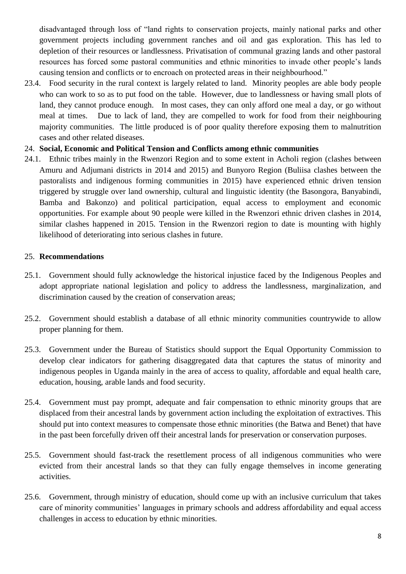disadvantaged through loss of "land rights to conservation projects, mainly national parks and other government projects including government ranches and oil and gas exploration. This has led to depletion of their resources or landlessness. Privatisation of communal grazing lands and other pastoral resources has forced some pastoral communities and ethnic minorities to invade other people's lands causing tension and conflicts or to encroach on protected areas in their neighbourhood."

23.4. Food security in the rural context is largely related to land. Minority peoples are able body people who can work to so as to put food on the table. However, due to landlessness or having small plots of land, they cannot produce enough. In most cases, they can only afford one meal a day, or go without meal at times. Due to lack of land, they are compelled to work for food from their neighbouring majority communities. The little produced is of poor quality therefore exposing them to malnutrition cases and other related diseases.

### 24. **Social, Economic and Political Tension and Conflicts among ethnic communities**

24.1. Ethnic tribes mainly in the Rwenzori Region and to some extent in Acholi region (clashes between Amuru and Adjumani districts in 2014 and 2015) and Bunyoro Region (Buliisa clashes between the pastoralists and indigenous forming communities in 2015) have experienced ethnic driven tension triggered by struggle over land ownership, cultural and linguistic identity (the Basongora, Banyabindi, Bamba and Bakonzo) and political participation, equal access to employment and economic opportunities. For example about 90 people were killed in the Rwenzori ethnic driven clashes in 2014, similar clashes happened in 2015. Tension in the Rwenzori region to date is mounting with highly likelihood of deteriorating into serious clashes in future.

### 25. **Recommendations**

- 25.1. Government should fully acknowledge the historical injustice faced by the Indigenous Peoples and adopt appropriate national legislation and policy to address the landlessness, marginalization, and discrimination caused by the creation of conservation areas;
- 25.2. Government should establish a database of all ethnic minority communities countrywide to allow proper planning for them.
- 25.3. Government under the Bureau of Statistics should support the Equal Opportunity Commission to develop clear indicators for gathering disaggregated data that captures the status of minority and indigenous peoples in Uganda mainly in the area of access to quality, affordable and equal health care, education, housing, arable lands and food security.
- 25.4. Government must pay prompt, adequate and fair compensation to ethnic minority groups that are displaced from their ancestral lands by government action including the exploitation of extractives. This should put into context measures to compensate those ethnic minorities (the Batwa and Benet) that have in the past been forcefully driven off their ancestral lands for preservation or conservation purposes.
- 25.5. Government should fast-track the resettlement process of all indigenous communities who were evicted from their ancestral lands so that they can fully engage themselves in income generating activities.
- 25.6. Government, through ministry of education, should come up with an inclusive curriculum that takes care of minority communities' languages in primary schools and address affordability and equal access challenges in access to education by ethnic minorities.